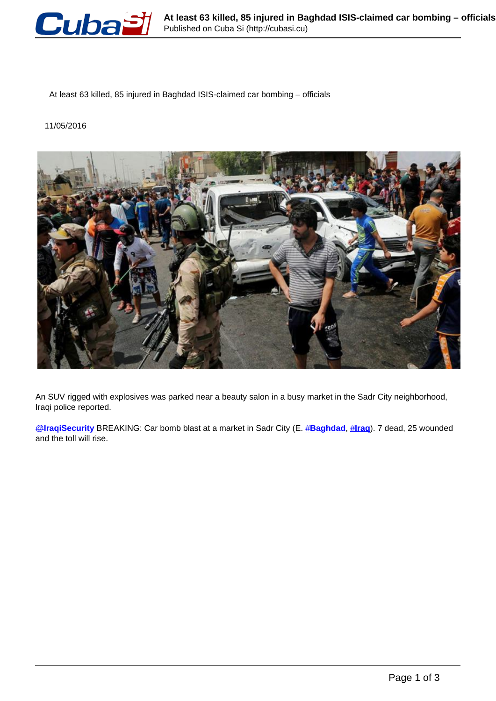

At least 63 killed, 85 injured in Baghdad ISIS-claimed car bombing – officials

11/05/2016



An SUV rigged with explosives was parked near a beauty salon in a busy market in the Sadr City neighborhood, Iraqi police reported.

[@](https://twitter.com/IraqiSecurity)**[IraqiSecurity](https://twitter.com/IraqiSecurity)** BREAKING: Car bomb blast at a market in Sadr City (E. #**Baghdad**, #**Iraq**). 7 dead, 25 wounded and the toll will rise.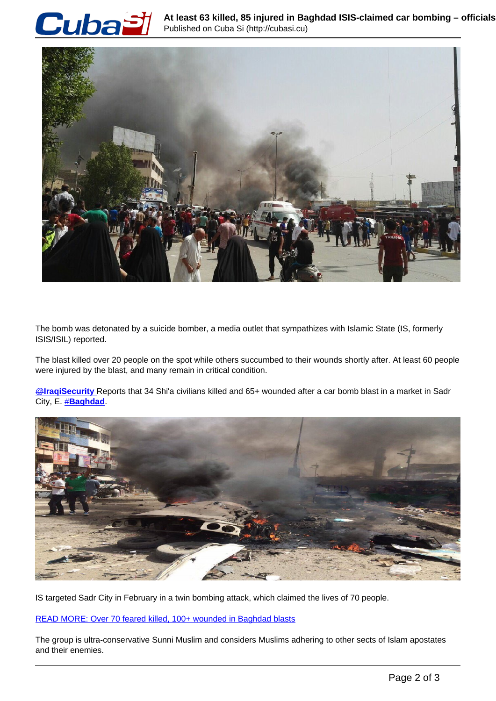



The bomb was detonated by a suicide bomber, a media outlet that sympathizes with Islamic State (IS, formerly ISIS/ISIL) reported.

The blast killed over 20 people on the spot while others succumbed to their wounds shortly after. At least 60 people were injured by the blast, and many remain in critical condition.

@**IraqiSecurity** Reports that 34 Shi'a civilians killed and 65+ wounded after a car bomb blast in a market in Sadr City, E. #**Baghdad**.



IS targeted Sadr City in February in a twin bombing attack, which claimed the lives of 70 people.

READ MORE: Over 70 feared killed, 100+ wounded in Baghdad blasts

The group is ultra-conservative Sunni Muslim and considers Muslims adhering to other sects of Islam apostates and their enemies.